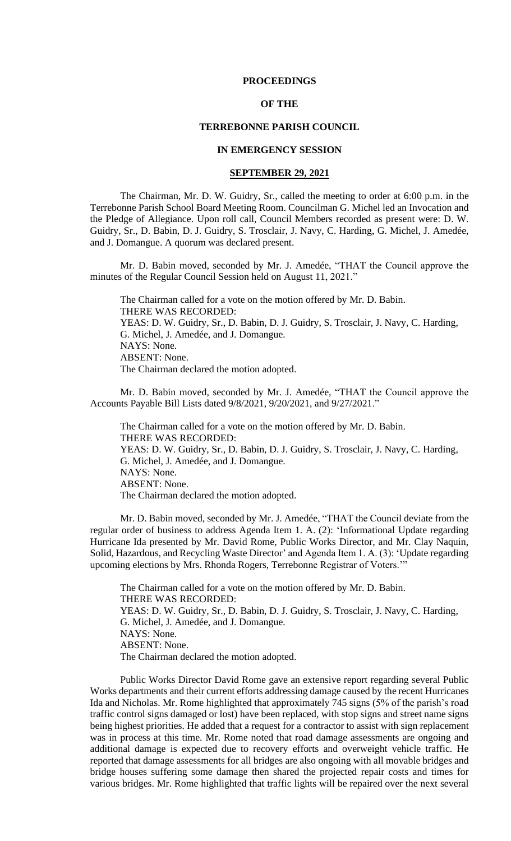#### **PROCEEDINGS**

## **OF THE**

# **TERREBONNE PARISH COUNCIL**

# **IN EMERGENCY SESSION**

### **SEPTEMBER 29, 2021**

The Chairman, Mr. D. W. Guidry, Sr., called the meeting to order at 6:00 p.m. in the Terrebonne Parish School Board Meeting Room. Councilman G. Michel led an Invocation and the Pledge of Allegiance. Upon roll call, Council Members recorded as present were: D. W. Guidry, Sr., D. Babin, D. J. Guidry, S. Trosclair, J. Navy, C. Harding, G. Michel, J. Amedée, and J. Domangue. A quorum was declared present.

Mr. D. Babin moved, seconded by Mr. J. Amedée, "THAT the Council approve the minutes of the Regular Council Session held on August 11, 2021."

The Chairman called for a vote on the motion offered by Mr. D. Babin. THERE WAS RECORDED: YEAS: D. W. Guidry, Sr., D. Babin, D. J. Guidry, S. Trosclair, J. Navy, C. Harding, G. Michel, J. Amedée, and J. Domangue. NAYS: None. ABSENT: None. The Chairman declared the motion adopted.

Mr. D. Babin moved, seconded by Mr. J. Amedée, "THAT the Council approve the Accounts Payable Bill Lists dated 9/8/2021, 9/20/2021, and 9/27/2021."

The Chairman called for a vote on the motion offered by Mr. D. Babin. THERE WAS RECORDED: YEAS: D. W. Guidry, Sr., D. Babin, D. J. Guidry, S. Trosclair, J. Navy, C. Harding, G. Michel, J. Amedée, and J. Domangue. NAYS: None. ABSENT: None. The Chairman declared the motion adopted.

Mr. D. Babin moved, seconded by Mr. J. Amedée, "THAT the Council deviate from the regular order of business to address Agenda Item 1. A. (2): 'Informational Update regarding Hurricane Ida presented by Mr. David Rome, Public Works Director, and Mr. Clay Naquin, Solid, Hazardous, and Recycling Waste Director' and Agenda Item 1. A. (3): 'Update regarding upcoming elections by Mrs. Rhonda Rogers, Terrebonne Registrar of Voters.'"

The Chairman called for a vote on the motion offered by Mr. D. Babin. THERE WAS RECORDED: YEAS: D. W. Guidry, Sr., D. Babin, D. J. Guidry, S. Trosclair, J. Navy, C. Harding, G. Michel, J. Amedée, and J. Domangue. NAYS: None. ABSENT: None. The Chairman declared the motion adopted.

Public Works Director David Rome gave an extensive report regarding several Public Works departments and their current efforts addressing damage caused by the recent Hurricanes Ida and Nicholas. Mr. Rome highlighted that approximately 745 signs (5% of the parish's road traffic control signs damaged or lost) have been replaced, with stop signs and street name signs being highest priorities. He added that a request for a contractor to assist with sign replacement was in process at this time. Mr. Rome noted that road damage assessments are ongoing and additional damage is expected due to recovery efforts and overweight vehicle traffic. He reported that damage assessments for all bridges are also ongoing with all movable bridges and bridge houses suffering some damage then shared the projected repair costs and times for various bridges. Mr. Rome highlighted that traffic lights will be repaired over the next several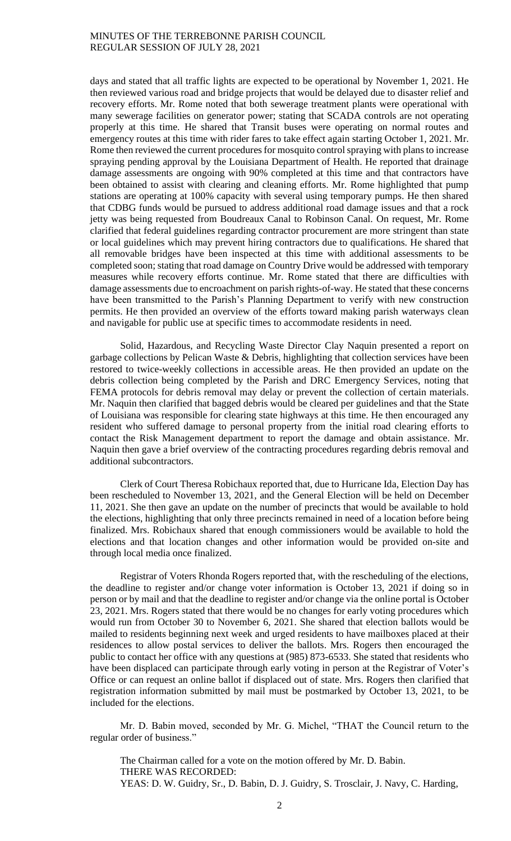days and stated that all traffic lights are expected to be operational by November 1, 2021. He then reviewed various road and bridge projects that would be delayed due to disaster relief and recovery efforts. Mr. Rome noted that both sewerage treatment plants were operational with many sewerage facilities on generator power; stating that SCADA controls are not operating properly at this time. He shared that Transit buses were operating on normal routes and emergency routes at this time with rider fares to take effect again starting October 1, 2021. Mr. Rome then reviewed the current procedures for mosquito control spraying with plans to increase spraying pending approval by the Louisiana Department of Health. He reported that drainage damage assessments are ongoing with 90% completed at this time and that contractors have been obtained to assist with clearing and cleaning efforts. Mr. Rome highlighted that pump stations are operating at 100% capacity with several using temporary pumps. He then shared that CDBG funds would be pursued to address additional road damage issues and that a rock jetty was being requested from Boudreaux Canal to Robinson Canal. On request, Mr. Rome clarified that federal guidelines regarding contractor procurement are more stringent than state or local guidelines which may prevent hiring contractors due to qualifications. He shared that all removable bridges have been inspected at this time with additional assessments to be completed soon; stating that road damage on Country Drive would be addressed with temporary measures while recovery efforts continue. Mr. Rome stated that there are difficulties with damage assessments due to encroachment on parish rights-of-way. He stated that these concerns have been transmitted to the Parish's Planning Department to verify with new construction permits. He then provided an overview of the efforts toward making parish waterways clean and navigable for public use at specific times to accommodate residents in need.

Solid, Hazardous, and Recycling Waste Director Clay Naquin presented a report on garbage collections by Pelican Waste & Debris, highlighting that collection services have been restored to twice-weekly collections in accessible areas. He then provided an update on the debris collection being completed by the Parish and DRC Emergency Services, noting that FEMA protocols for debris removal may delay or prevent the collection of certain materials. Mr. Naquin then clarified that bagged debris would be cleared per guidelines and that the State of Louisiana was responsible for clearing state highways at this time. He then encouraged any resident who suffered damage to personal property from the initial road clearing efforts to contact the Risk Management department to report the damage and obtain assistance. Mr. Naquin then gave a brief overview of the contracting procedures regarding debris removal and additional subcontractors.

Clerk of Court Theresa Robichaux reported that, due to Hurricane Ida, Election Day has been rescheduled to November 13, 2021, and the General Election will be held on December 11, 2021. She then gave an update on the number of precincts that would be available to hold the elections, highlighting that only three precincts remained in need of a location before being finalized. Mrs. Robichaux shared that enough commissioners would be available to hold the elections and that location changes and other information would be provided on-site and through local media once finalized.

Registrar of Voters Rhonda Rogers reported that, with the rescheduling of the elections, the deadline to register and/or change voter information is October 13, 2021 if doing so in person or by mail and that the deadline to register and/or change via the online portal is October 23, 2021. Mrs. Rogers stated that there would be no changes for early voting procedures which would run from October 30 to November 6, 2021. She shared that election ballots would be mailed to residents beginning next week and urged residents to have mailboxes placed at their residences to allow postal services to deliver the ballots. Mrs. Rogers then encouraged the public to contact her office with any questions at (985) 873-6533. She stated that residents who have been displaced can participate through early voting in person at the Registrar of Voter's Office or can request an online ballot if displaced out of state. Mrs. Rogers then clarified that registration information submitted by mail must be postmarked by October 13, 2021, to be included for the elections.

Mr. D. Babin moved, seconded by Mr. G. Michel, "THAT the Council return to the regular order of business."

The Chairman called for a vote on the motion offered by Mr. D. Babin. THERE WAS RECORDED: YEAS: D. W. Guidry, Sr., D. Babin, D. J. Guidry, S. Trosclair, J. Navy, C. Harding,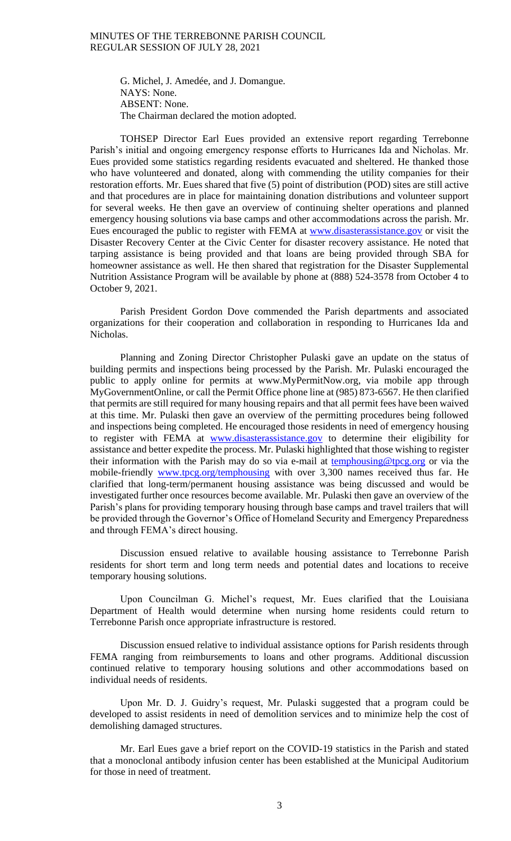G. Michel, J. Amedée, and J. Domangue. NAYS: None. ABSENT: None. The Chairman declared the motion adopted.

TOHSEP Director Earl Eues provided an extensive report regarding Terrebonne Parish's initial and ongoing emergency response efforts to Hurricanes Ida and Nicholas. Mr. Eues provided some statistics regarding residents evacuated and sheltered. He thanked those who have volunteered and donated, along with commending the utility companies for their restoration efforts. Mr. Eues shared that five (5) point of distribution (POD) sites are still active and that procedures are in place for maintaining donation distributions and volunteer support for several weeks. He then gave an overview of continuing shelter operations and planned emergency housing solutions via base camps and other accommodations across the parish. Mr. Eues encouraged the public to register with FEMA at [www.disasterassistance.gov](http://www.disasterassistance.gov/) or visit the Disaster Recovery Center at the Civic Center for disaster recovery assistance. He noted that tarping assistance is being provided and that loans are being provided through SBA for homeowner assistance as well. He then shared that registration for the Disaster Supplemental Nutrition Assistance Program will be available by phone at (888) 524-3578 from October 4 to October 9, 2021.

Parish President Gordon Dove commended the Parish departments and associated organizations for their cooperation and collaboration in responding to Hurricanes Ida and Nicholas.

Planning and Zoning Director Christopher Pulaski gave an update on the status of building permits and inspections being processed by the Parish. Mr. Pulaski encouraged the public to apply online for permits at www.MyPermitNow.org, via mobile app through MyGovernmentOnline, or call the Permit Office phone line at (985) 873-6567. He then clarified that permits are still required for many housing repairs and that all permit fees have been waived at this time. Mr. Pulaski then gave an overview of the permitting procedures being followed and inspections being completed. He encouraged those residents in need of emergency housing to register with FEMA at [www.disasterassistance.gov](http://www.disasterassistance.gov/) to determine their eligibility for assistance and better expedite the process. Mr. Pulaski highlighted that those wishing to register their information with the Parish may do so via e-mail at **temphousing@tpcg.org** or via the mobile-friendly [www.tpcg.org/temphousing](http://www.tpcg.org/temphousing) with over 3,300 names received thus far. He clarified that long-term/permanent housing assistance was being discussed and would be investigated further once resources become available. Mr. Pulaski then gave an overview of the Parish's plans for providing temporary housing through base camps and travel trailers that will be provided through the Governor's Office of Homeland Security and Emergency Preparedness and through FEMA's direct housing.

Discussion ensued relative to available housing assistance to Terrebonne Parish residents for short term and long term needs and potential dates and locations to receive temporary housing solutions.

Upon Councilman G. Michel's request, Mr. Eues clarified that the Louisiana Department of Health would determine when nursing home residents could return to Terrebonne Parish once appropriate infrastructure is restored.

Discussion ensued relative to individual assistance options for Parish residents through FEMA ranging from reimbursements to loans and other programs. Additional discussion continued relative to temporary housing solutions and other accommodations based on individual needs of residents.

Upon Mr. D. J. Guidry's request, Mr. Pulaski suggested that a program could be developed to assist residents in need of demolition services and to minimize help the cost of demolishing damaged structures.

Mr. Earl Eues gave a brief report on the COVID-19 statistics in the Parish and stated that a monoclonal antibody infusion center has been established at the Municipal Auditorium for those in need of treatment.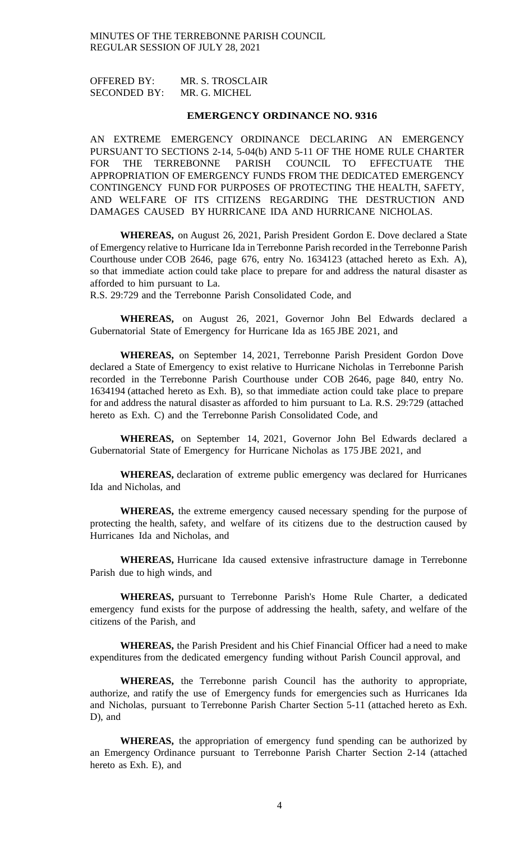OFFERED BY: MR. S. TROSCLAIR SECONDED BY: MR. G. MICHEL

#### **EMERGENCY ORDINANCE NO. 9316**

AN EXTREME EMERGENCY ORDINANCE DECLARING AN EMERGENCY PURSUANT TO SECTIONS 2-14, 5-04(b) AND 5-11 OF THE HOME RULE CHARTER FOR THE TERREBONNE PARISH COUNCIL TO EFFECTUATE THE APPROPRIATION OF EMERGENCY FUNDS FROM THE DEDICATED EMERGENCY CONTINGENCY FUND FOR PURPOSES OF PROTECTING THE HEALTH, SAFETY, AND WELFARE OF ITS CITIZENS REGARDING THE DESTRUCTION AND DAMAGES CAUSED BY HURRICANE IDA AND HURRICANE NICHOLAS.

**WHEREAS,** on August 26, 2021, Parish President Gordon E. Dove declared a State of Emergency relative to Hurricane Ida in Terrebonne Parish recorded in the Terrebonne Parish Courthouse under COB 2646, page 676, entry No. 1634123 (attached hereto as Exh. A), so that immediate action could take place to prepare for and address the natural disaster as afforded to him pursuant to La.

R.S. 29:729 and the Terrebonne Parish Consolidated Code, and

**WHEREAS,** on August 26, 2021, Governor John Bel Edwards declared a Gubernatorial State of Emergency for Hurricane Ida as 165 JBE 2021, and

**WHEREAS,** on September 14, 2021, Terrebonne Parish President Gordon Dove declared a State of Emergency to exist relative to Hurricane Nicholas in Terrebonne Parish recorded in the Terrebonne Parish Courthouse under COB 2646, page 840, entry No. 1634194 (attached hereto as Exh. B), so that immediate action could take place to prepare for and address the natural disaster as afforded to him pursuant to La. R.S. 29:729 (attached hereto as Exh. C) and the Terrebonne Parish Consolidated Code, and

**WHEREAS,** on September 14, 2021, Governor John Bel Edwards declared a Gubernatorial State of Emergency for Hurricane Nicholas as 175 JBE 2021, and

**WHEREAS,** declaration of extreme public emergency was declared for Hurricanes Ida and Nicholas, and

**WHEREAS,** the extreme emergency caused necessary spending for the purpose of protecting the health, safety, and welfare of its citizens due to the destruction caused by Hurricanes Ida and Nicholas, and

**WHEREAS,** Hurricane Ida caused extensive infrastructure damage in Terrebonne Parish due to high winds, and

**WHEREAS,** pursuant to Terrebonne Parish's Home Rule Charter, a dedicated emergency fund exists for the purpose of addressing the health, safety, and welfare of the citizens of the Parish, and

**WHEREAS,** the Parish President and his Chief Financial Officer had a need to make expenditures from the dedicated emergency funding without Parish Council approval, and

**WHEREAS,** the Terrebonne parish Council has the authority to appropriate, authorize, and ratify the use of Emergency funds for emergencies such as Hurricanes Ida and Nicholas, pursuant to Terrebonne Parish Charter Section 5-11 (attached hereto as Exh. D), and

**WHEREAS,** the appropriation of emergency fund spending can be authorized by an Emergency Ordinance pursuant to Terrebonne Parish Charter Section 2-14 (attached hereto as Exh. E), and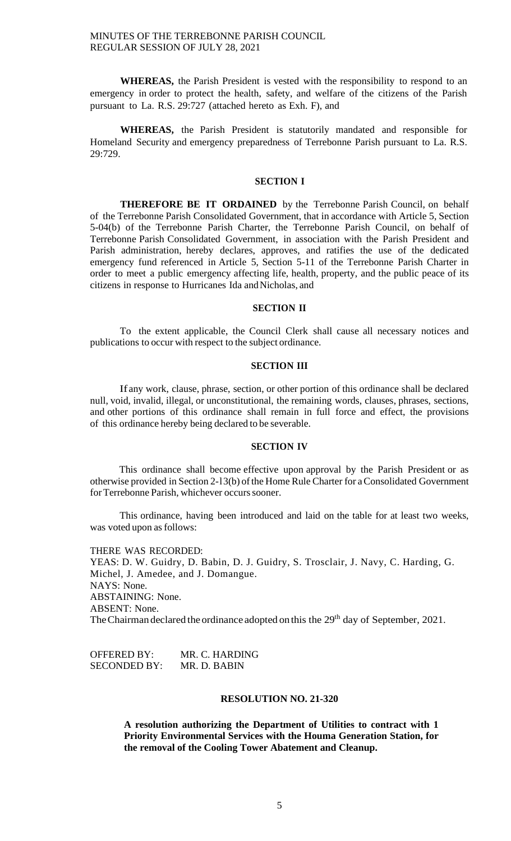**WHEREAS,** the Parish President is vested with the responsibility to respond to an emergency in order to protect the health, safety, and welfare of the citizens of the Parish pursuant to La. R.S. 29:727 (attached hereto as Exh. F), and

**WHEREAS,** the Parish President is statutorily mandated and responsible for Homeland Security and emergency preparedness of Terrebonne Parish pursuant to La. R.S. 29:729.

## **SECTION I**

**THEREFORE BE IT ORDAINED** by the Terrebonne Parish Council, on behalf of the Terrebonne Parish Consolidated Government, that in accordance with Article 5, Section 5-04(b) of the Terrebonne Parish Charter, the Terrebonne Parish Council, on behalf of Terrebonne Parish Consolidated Government, in association with the Parish President and Parish administration, hereby declares, approves, and ratifies the use of the dedicated emergency fund referenced in Article 5, Section 5-11 of the Terrebonne Parish Charter in order to meet a public emergency affecting life, health, property, and the public peace of its citizens in response to Hurricanes Ida andNicholas, and

### **SECTION II**

To the extent applicable, the Council Clerk shall cause all necessary notices and publications to occur with respect to the subject ordinance.

# **SECTION III**

Ifany work, clause, phrase, section, or other portion of this ordinance shall be declared null, void, invalid, illegal, or unconstitutional, the remaining words, clauses, phrases, sections, and other portions of this ordinance shall remain in full force and effect, the provisions of this ordinance hereby being declared to be severable.

## **SECTION IV**

This ordinance shall become effective upon approval by the Parish President or as otherwise provided in Section 2-13(b) of the Home Rule Charter for a Consolidated Government for Terrebonne Parish, whichever occurs sooner.

This ordinance, having been introduced and laid on the table for at least two weeks, was voted upon as follows:

THERE WAS RECORDED: YEAS: D. W. Guidry, D. Babin, D. J. Guidry, S. Trosclair, J. Navy, C. Harding, G. Michel, J. Amedee, and J. Domangue. NAYS: None. ABSTAINING: None. ABSENT: None. The Chairman declared the ordinance adopted on this the 29<sup>th</sup> day of September, 2021.

OFFERED BY: MR. C. HARDING SECONDED BY: MR. D. BABIN

# **RESOLUTION NO. 21-320**

**A resolution authorizing the Department of Utilities to contract with 1 Priority Environmental Services with the Houma Generation Station, for the removal of the Cooling Tower Abatement and Cleanup.**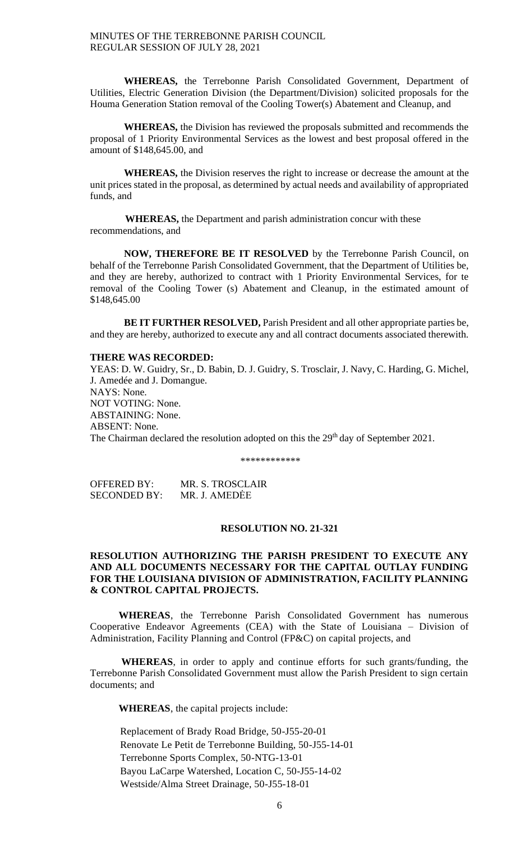**WHEREAS,** the Terrebonne Parish Consolidated Government, Department of Utilities, Electric Generation Division (the Department/Division) solicited proposals for the Houma Generation Station removal of the Cooling Tower(s) Abatement and Cleanup, and

**WHEREAS,** the Division has reviewed the proposals submitted and recommends the proposal of 1 Priority Environmental Services as the lowest and best proposal offered in the amount of \$148,645.00, and

**WHEREAS,** the Division reserves the right to increase or decrease the amount at the unit prices stated in the proposal, as determined by actual needs and availability of appropriated funds, and

 **WHEREAS,** the Department and parish administration concur with these recommendations, and

**NOW, THEREFORE BE IT RESOLVED** by the Terrebonne Parish Council, on behalf of the Terrebonne Parish Consolidated Government, that the Department of Utilities be, and they are hereby, authorized to contract with 1 Priority Environmental Services, for te removal of the Cooling Tower (s) Abatement and Cleanup, in the estimated amount of \$148,645.00

**BE IT FURTHER RESOLVED,** Parish President and all other appropriate parties be, and they are hereby, authorized to execute any and all contract documents associated therewith.

### **THERE WAS RECORDED:**

YEAS: D. W. Guidry, Sr., D. Babin, D. J. Guidry, S. Trosclair, J. Navy, C. Harding, G. Michel, J. Amedée and J. Domangue. NAYS: None. NOT VOTING: None. ABSTAINING: None. ABSENT: None. The Chairman declared the resolution adopted on this the 29<sup>th</sup> day of September 2021.

\*\*\*\*\*\*\*\*\*\*\*

| OFFERED BY:         | MR. S. TROSCLAIR |
|---------------------|------------------|
| <b>SECONDED BY:</b> | MR. J. AMEDĖE    |

### **RESOLUTION NO. 21-321**

# **RESOLUTION AUTHORIZING THE PARISH PRESIDENT TO EXECUTE ANY AND ALL DOCUMENTS NECESSARY FOR THE CAPITAL OUTLAY FUNDING FOR THE LOUISIANA DIVISION OF ADMINISTRATION, FACILITY PLANNING & CONTROL CAPITAL PROJECTS.**

 **WHEREAS**, the Terrebonne Parish Consolidated Government has numerous Cooperative Endeavor Agreements (CEA) with the State of Louisiana – Division of Administration, Facility Planning and Control (FP&C) on capital projects, and

 **WHEREAS**, in order to apply and continue efforts for such grants/funding, the Terrebonne Parish Consolidated Government must allow the Parish President to sign certain documents; and

 **WHEREAS**, the capital projects include:

Replacement of Brady Road Bridge, 50-J55-20-01 Renovate Le Petit de Terrebonne Building, 50-J55-14-01 Terrebonne Sports Complex, 50-NTG-13-01 Bayou LaCarpe Watershed, Location C, 50-J55-14-02 Westside/Alma Street Drainage, 50-J55-18-01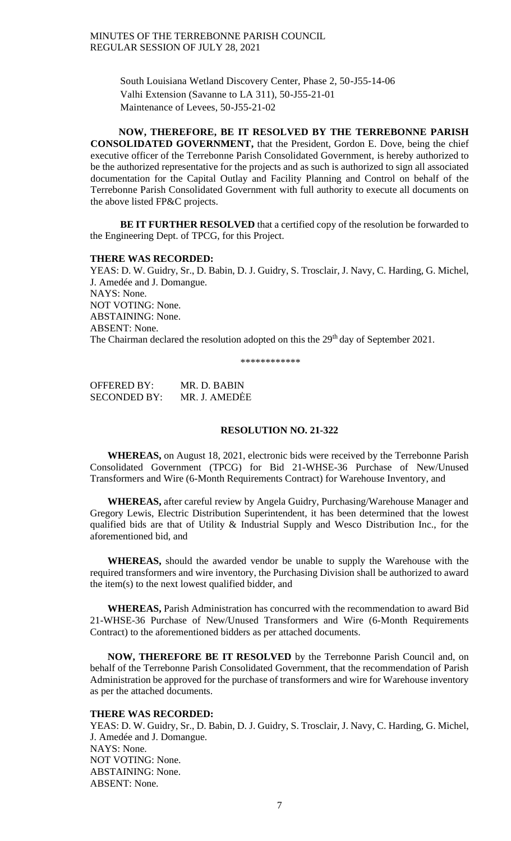South Louisiana Wetland Discovery Center, Phase 2, 50-J55-14-06 Valhi Extension (Savanne to LA 311), 50-J55-21-01 Maintenance of Levees, 50-J55-21-02

 **NOW, THEREFORE, BE IT RESOLVED BY THE TERREBONNE PARISH CONSOLIDATED GOVERNMENT,** that the President, Gordon E. Dove, being the chief executive officer of the Terrebonne Parish Consolidated Government, is hereby authorized to be the authorized representative for the projects and as such is authorized to sign all associated documentation for the Capital Outlay and Facility Planning and Control on behalf of the Terrebonne Parish Consolidated Government with full authority to execute all documents on the above listed FP&C projects.

**BE IT FURTHER RESOLVED** that a certified copy of the resolution be forwarded to the Engineering Dept. of TPCG, for this Project.

### **THERE WAS RECORDED:**

YEAS: D. W. Guidry, Sr., D. Babin, D. J. Guidry, S. Trosclair, J. Navy, C. Harding, G. Michel, J. Amedée and J. Domangue. NAYS: None. NOT VOTING: None. ABSTAINING: None. ABSENT: None. The Chairman declared the resolution adopted on this the 29<sup>th</sup> day of September 2021.

\*\*\*\*\*\*\*\*\*\*\*\*

OFFERED BY: MR. D. BABIN SECONDED BY: MR. J. AMEDĖE

# **RESOLUTION NO. 21-322**

 **WHEREAS,** on August 18, 2021, electronic bids were received by the Terrebonne Parish Consolidated Government (TPCG) for Bid 21-WHSE-36 Purchase of New/Unused Transformers and Wire (6-Month Requirements Contract) for Warehouse Inventory, and

 **WHEREAS,** after careful review by Angela Guidry, Purchasing/Warehouse Manager and Gregory Lewis, Electric Distribution Superintendent, it has been determined that the lowest qualified bids are that of Utility & Industrial Supply and Wesco Distribution Inc., for the aforementioned bid, and

 **WHEREAS,** should the awarded vendor be unable to supply the Warehouse with the required transformers and wire inventory, the Purchasing Division shall be authorized to award the item(s) to the next lowest qualified bidder, and

 **WHEREAS,** Parish Administration has concurred with the recommendation to award Bid 21-WHSE-36 Purchase of New/Unused Transformers and Wire (6-Month Requirements Contract) to the aforementioned bidders as per attached documents.

 **NOW, THEREFORE BE IT RESOLVED** by the Terrebonne Parish Council and, on behalf of the Terrebonne Parish Consolidated Government, that the recommendation of Parish Administration be approved for the purchase of transformers and wire for Warehouse inventory as per the attached documents.

### **THERE WAS RECORDED:**

YEAS: D. W. Guidry, Sr., D. Babin, D. J. Guidry, S. Trosclair, J. Navy, C. Harding, G. Michel, J. Amedée and J. Domangue. NAYS: None. NOT VOTING: None. ABSTAINING: None. ABSENT: None.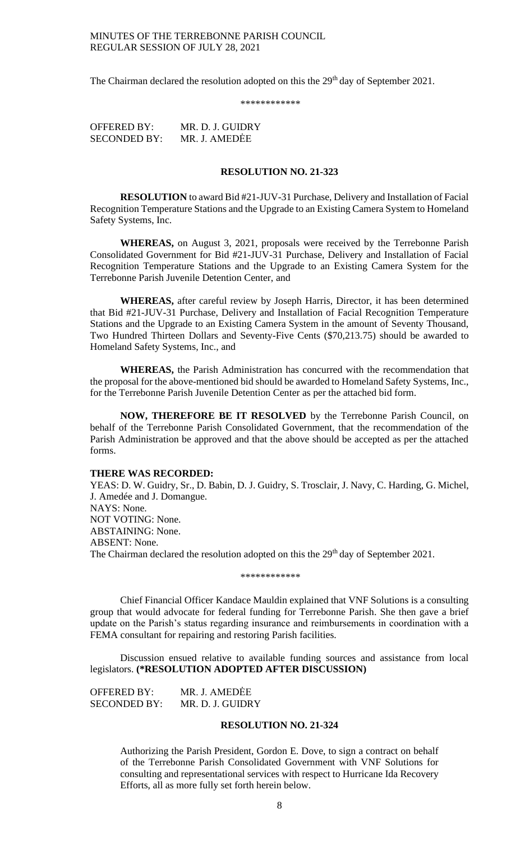The Chairman declared the resolution adopted on this the 29<sup>th</sup> day of September 2021.

\*\*\*\*\*\*\*\*\*\*\*

OFFERED BY: MR. D. J. GUIDRY SECONDED BY: MR. J. AMEDĖE

### **RESOLUTION NO. 21-323**

**RESOLUTION** to award Bid #21-JUV-31 Purchase, Delivery and Installation of Facial Recognition Temperature Stations and the Upgrade to an Existing Camera System to Homeland Safety Systems, Inc.

**WHEREAS,** on August 3, 2021, proposals were received by the Terrebonne Parish Consolidated Government for Bid #21-JUV-31 Purchase, Delivery and Installation of Facial Recognition Temperature Stations and the Upgrade to an Existing Camera System for the Terrebonne Parish Juvenile Detention Center, and

**WHEREAS,** after careful review by Joseph Harris, Director, it has been determined that Bid #21-JUV-31 Purchase, Delivery and Installation of Facial Recognition Temperature Stations and the Upgrade to an Existing Camera System in the amount of Seventy Thousand, Two Hundred Thirteen Dollars and Seventy-Five Cents (\$70,213.75) should be awarded to Homeland Safety Systems, Inc., and

**WHEREAS,** the Parish Administration has concurred with the recommendation that the proposal for the above-mentioned bid should be awarded to Homeland Safety Systems, Inc., for the Terrebonne Parish Juvenile Detention Center as per the attached bid form.

**NOW, THEREFORE BE IT RESOLVED** by the Terrebonne Parish Council, on behalf of the Terrebonne Parish Consolidated Government, that the recommendation of the Parish Administration be approved and that the above should be accepted as per the attached forms.

#### **THERE WAS RECORDED:**

YEAS: D. W. Guidry, Sr., D. Babin, D. J. Guidry, S. Trosclair, J. Navy, C. Harding, G. Michel, J. Amedée and J. Domangue. NAYS: None. NOT VOTING: None. ABSTAINING: None. ABSENT: None. The Chairman declared the resolution adopted on this the 29<sup>th</sup> day of September 2021.

\*\*\*\*\*\*\*\*\*\*\*\*

Chief Financial Officer Kandace Mauldin explained that VNF Solutions is a consulting group that would advocate for federal funding for Terrebonne Parish. She then gave a brief update on the Parish's status regarding insurance and reimbursements in coordination with a FEMA consultant for repairing and restoring Parish facilities.

Discussion ensued relative to available funding sources and assistance from local legislators. **(\*RESOLUTION ADOPTED AFTER DISCUSSION)**

OFFERED BY: MR. J. AMEDĖE SECONDED BY: MR. D. J. GUIDRY

## **RESOLUTION NO. 21-324**

Authorizing the Parish President, Gordon E. Dove, to sign a contract on behalf of the Terrebonne Parish Consolidated Government with VNF Solutions for consulting and representational services with respect to Hurricane Ida Recovery Efforts, all as more fully set forth herein below.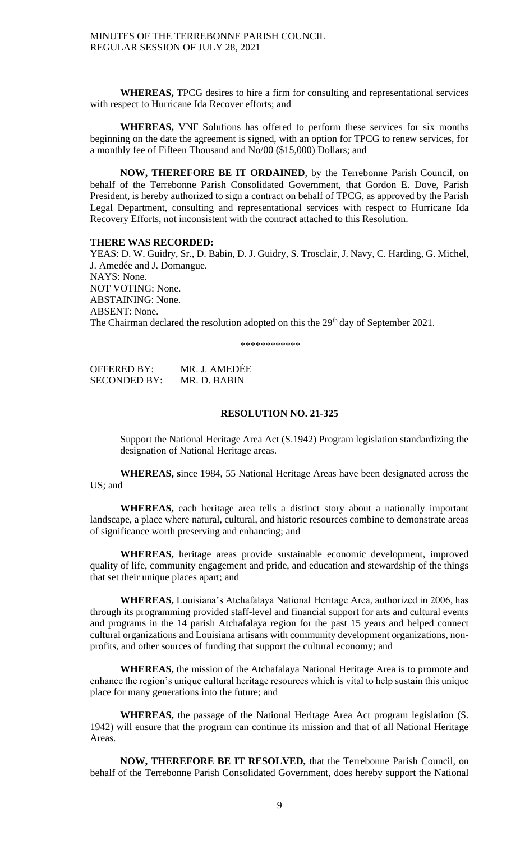**WHEREAS,** TPCG desires to hire a firm for consulting and representational services with respect to Hurricane Ida Recover efforts; and

**WHEREAS,** VNF Solutions has offered to perform these services for six months beginning on the date the agreement is signed, with an option for TPCG to renew services, for a monthly fee of Fifteen Thousand and No/00 (\$15,000) Dollars; and

**NOW, THEREFORE BE IT ORDAINED**, by the Terrebonne Parish Council, on behalf of the Terrebonne Parish Consolidated Government, that Gordon E. Dove, Parish President, is hereby authorized to sign a contract on behalf of TPCG, as approved by the Parish Legal Department, consulting and representational services with respect to Hurricane Ida Recovery Efforts, not inconsistent with the contract attached to this Resolution.

### **THERE WAS RECORDED:**

YEAS: D. W. Guidry, Sr., D. Babin, D. J. Guidry, S. Trosclair, J. Navy, C. Harding, G. Michel, J. Amedée and J. Domangue. NAYS: None. NOT VOTING: None. ABSTAINING: None. ABSENT: None. The Chairman declared the resolution adopted on this the 29<sup>th</sup> day of September 2021.

\*\*\*\*\*\*\*\*\*\*\*\*

OFFERED BY: MR. J. AMEDĖE SECONDED BY: MR. D. BABIN

# **RESOLUTION NO. 21-325**

Support the National Heritage Area Act (S.1942) Program legislation standardizing the designation of National Heritage areas.

**WHEREAS, s**ince 1984, 55 National Heritage Areas have been designated across the US; and

**WHEREAS,** each heritage area tells a distinct story about a nationally important landscape, a place where natural, cultural, and historic resources combine to demonstrate areas of significance worth preserving and enhancing; and

**WHEREAS,** heritage areas provide sustainable economic development, improved quality of life, community engagement and pride, and education and stewardship of the things that set their unique places apart; and

**WHEREAS,** Louisiana's Atchafalaya National Heritage Area, authorized in 2006, has through its programming provided staff-level and financial support for arts and cultural events and programs in the 14 parish Atchafalaya region for the past 15 years and helped connect cultural organizations and Louisiana artisans with community development organizations, nonprofits, and other sources of funding that support the cultural economy; and

**WHEREAS,** the mission of the Atchafalaya National Heritage Area is to promote and enhance the region's unique cultural heritage resources which is vital to help sustain this unique place for many generations into the future; and

**WHEREAS,** the passage of the National Heritage Area Act program legislation (S. 1942) will ensure that the program can continue its mission and that of all National Heritage Areas.

**NOW, THEREFORE BE IT RESOLVED,** that the Terrebonne Parish Council, on behalf of the Terrebonne Parish Consolidated Government, does hereby support the National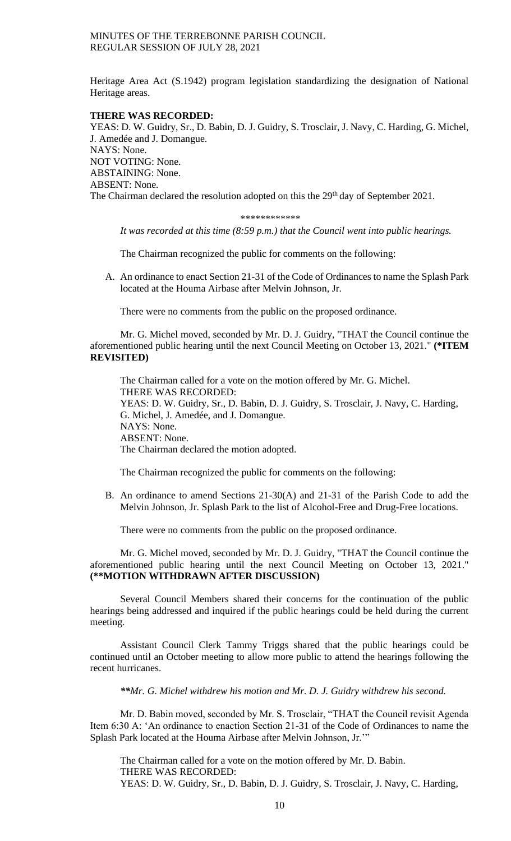Heritage Area Act (S.1942) program legislation standardizing the designation of National Heritage areas.

# **THERE WAS RECORDED:**

YEAS: D. W. Guidry, Sr., D. Babin, D. J. Guidry, S. Trosclair, J. Navy, C. Harding, G. Michel, J. Amedée and J. Domangue. NAYS: None. NOT VOTING: None. ABSTAINING: None. ABSENT: None. The Chairman declared the resolution adopted on this the 29<sup>th</sup> day of September 2021.

#### \*\*\*\*\*\*\*\*\*\*\*\*

*It was recorded at this time (8:59 p.m.) that the Council went into public hearings.*

The Chairman recognized the public for comments on the following:

A. An ordinance to enact Section 21-31 of the Code of Ordinances to name the Splash Park located at the Houma Airbase after Melvin Johnson, Jr.

There were no comments from the public on the proposed ordinance.

Mr. G. Michel moved, seconded by Mr. D. J. Guidry, "THAT the Council continue the aforementioned public hearing until the next Council Meeting on October 13, 2021." **(\*ITEM REVISITED)**

The Chairman called for a vote on the motion offered by Mr. G. Michel. THERE WAS RECORDED: YEAS: D. W. Guidry, Sr., D. Babin, D. J. Guidry, S. Trosclair, J. Navy, C. Harding, G. Michel, J. Amedée, and J. Domangue. NAYS: None. ABSENT: None. The Chairman declared the motion adopted.

The Chairman recognized the public for comments on the following:

B. An ordinance to amend Sections 21-30(A) and 21-31 of the Parish Code to add the Melvin Johnson, Jr. Splash Park to the list of Alcohol-Free and Drug-Free locations.

There were no comments from the public on the proposed ordinance.

Mr. G. Michel moved, seconded by Mr. D. J. Guidry, "THAT the Council continue the aforementioned public hearing until the next Council Meeting on October 13, 2021." **(\*\*MOTION WITHDRAWN AFTER DISCUSSION)**

Several Council Members shared their concerns for the continuation of the public hearings being addressed and inquired if the public hearings could be held during the current meeting.

Assistant Council Clerk Tammy Triggs shared that the public hearings could be continued until an October meeting to allow more public to attend the hearings following the recent hurricanes.

*\*\*Mr. G. Michel withdrew his motion and Mr. D. J. Guidry withdrew his second.*

Mr. D. Babin moved, seconded by Mr. S. Trosclair, "THAT the Council revisit Agenda Item 6:30 A: 'An ordinance to enaction Section 21-31 of the Code of Ordinances to name the Splash Park located at the Houma Airbase after Melvin Johnson, Jr.'"

The Chairman called for a vote on the motion offered by Mr. D. Babin. THERE WAS RECORDED: YEAS: D. W. Guidry, Sr., D. Babin, D. J. Guidry, S. Trosclair, J. Navy, C. Harding,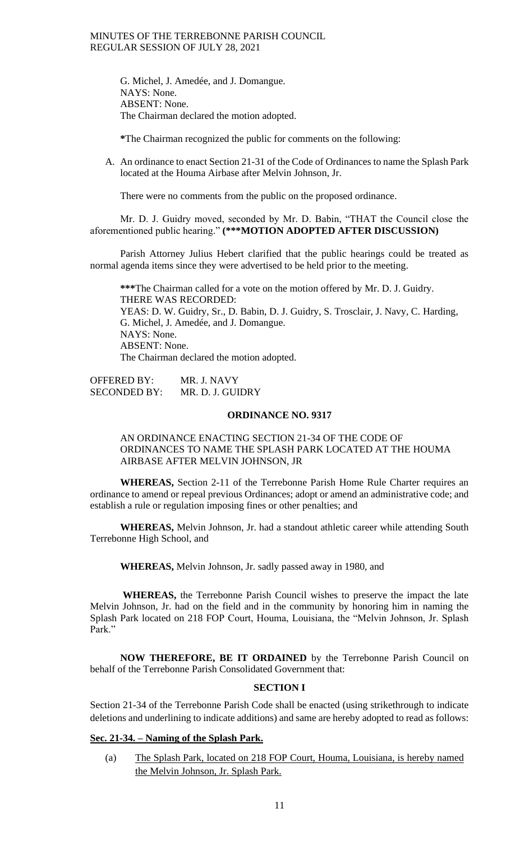G. Michel, J. Amedée, and J. Domangue. NAYS: None. ABSENT: None. The Chairman declared the motion adopted.

**\***The Chairman recognized the public for comments on the following:

A. An ordinance to enact Section 21-31 of the Code of Ordinances to name the Splash Park located at the Houma Airbase after Melvin Johnson, Jr.

There were no comments from the public on the proposed ordinance.

Mr. D. J. Guidry moved, seconded by Mr. D. Babin, "THAT the Council close the aforementioned public hearing." **(\*\*\*MOTION ADOPTED AFTER DISCUSSION)**

Parish Attorney Julius Hebert clarified that the public hearings could be treated as normal agenda items since they were advertised to be held prior to the meeting.

**\*\*\***The Chairman called for a vote on the motion offered by Mr. D. J. Guidry. THERE WAS RECORDED: YEAS: D. W. Guidry, Sr., D. Babin, D. J. Guidry, S. Trosclair, J. Navy, C. Harding, G. Michel, J. Amedée, and J. Domangue. NAYS: None. ABSENT: None. The Chairman declared the motion adopted.

OFFERED BY: MR. J. NAVY SECONDED BY: MR. D. J. GUIDRY

### **ORDINANCE NO. 9317**

# AN ORDINANCE ENACTING SECTION 21-34 OF THE CODE OF ORDINANCES TO NAME THE SPLASH PARK LOCATED AT THE HOUMA AIRBASE AFTER MELVIN JOHNSON, JR

**WHEREAS,** Section 2-11 of the Terrebonne Parish Home Rule Charter requires an ordinance to amend or repeal previous Ordinances; adopt or amend an administrative code; and establish a rule or regulation imposing fines or other penalties; and

**WHEREAS,** Melvin Johnson, Jr. had a standout athletic career while attending South Terrebonne High School, and

**WHEREAS,** Melvin Johnson, Jr. sadly passed away in 1980, and

**WHEREAS,** the Terrebonne Parish Council wishes to preserve the impact the late Melvin Johnson, Jr. had on the field and in the community by honoring him in naming the Splash Park located on 218 FOP Court, Houma, Louisiana, the "Melvin Johnson, Jr. Splash Park."

**NOW THEREFORE, BE IT ORDAINED** by the Terrebonne Parish Council on behalf of the Terrebonne Parish Consolidated Government that:

### **SECTION I**

Section 21-34 of the Terrebonne Parish Code shall be enacted (using strikethrough to indicate deletions and underlining to indicate additions) and same are hereby adopted to read as follows:

# **Sec. 21-34. – Naming of the Splash Park.**

(a) The Splash Park, located on 218 FOP Court, Houma, Louisiana, is hereby named the Melvin Johnson, Jr. Splash Park.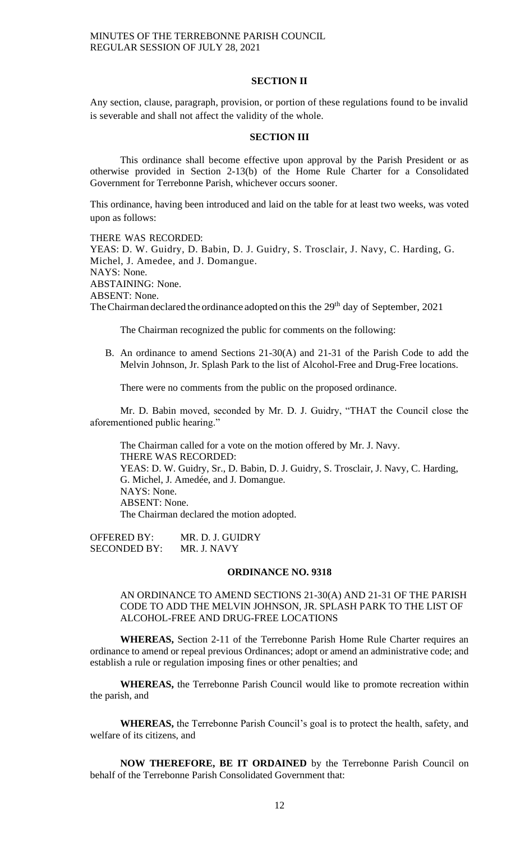#### **SECTION II**

Any section, clause, paragraph, provision, or portion of these regulations found to be invalid is severable and shall not affect the validity of the whole.

## **SECTION III**

This ordinance shall become effective upon approval by the Parish President or as otherwise provided in Section 2-13(b) of the Home Rule Charter for a Consolidated Government for Terrebonne Parish, whichever occurs sooner.

This ordinance, having been introduced and laid on the table for at least two weeks, was voted upon as follows:

THERE WAS RECORDED: YEAS: D. W. Guidry, D. Babin, D. J. Guidry, S. Trosclair, J. Navy, C. Harding, G. Michel, J. Amedee, and J. Domangue. NAYS: None. ABSTAINING: None. ABSENT: None. The Chairman declared the ordinance adopted on this the 29<sup>th</sup> day of September, 2021

The Chairman recognized the public for comments on the following:

B. An ordinance to amend Sections 21-30(A) and 21-31 of the Parish Code to add the Melvin Johnson, Jr. Splash Park to the list of Alcohol-Free and Drug-Free locations.

There were no comments from the public on the proposed ordinance.

Mr. D. Babin moved, seconded by Mr. D. J. Guidry, "THAT the Council close the aforementioned public hearing."

The Chairman called for a vote on the motion offered by Mr. J. Navy. THERE WAS RECORDED: YEAS: D. W. Guidry, Sr., D. Babin, D. J. Guidry, S. Trosclair, J. Navy, C. Harding, G. Michel, J. Amedée, and J. Domangue. NAYS: None. ABSENT: None. The Chairman declared the motion adopted.

OFFERED BY: MR. D. J. GUIDRY<br>SECONDED BY: MR. J. NAVY SECONDED BY:

#### **ORDINANCE NO. 9318**

AN ORDINANCE TO AMEND SECTIONS 21-30(A) AND 21-31 OF THE PARISH CODE TO ADD THE MELVIN JOHNSON, JR. SPLASH PARK TO THE LIST OF ALCOHOL-FREE AND DRUG-FREE LOCATIONS

**WHEREAS,** Section 2-11 of the Terrebonne Parish Home Rule Charter requires an ordinance to amend or repeal previous Ordinances; adopt or amend an administrative code; and establish a rule or regulation imposing fines or other penalties; and

**WHEREAS,** the Terrebonne Parish Council would like to promote recreation within the parish, and

**WHEREAS,** the Terrebonne Parish Council's goal is to protect the health, safety, and welfare of its citizens, and

**NOW THEREFORE, BE IT ORDAINED** by the Terrebonne Parish Council on behalf of the Terrebonne Parish Consolidated Government that: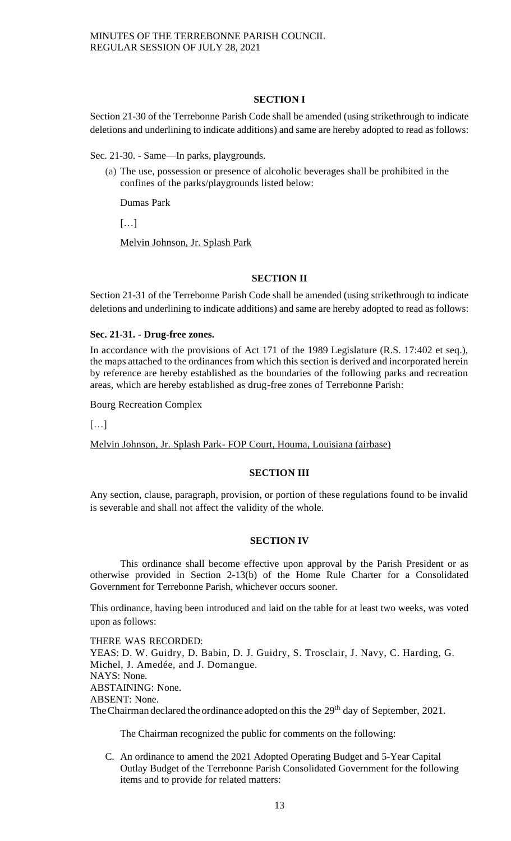# **SECTION I**

Section 21-30 of the Terrebonne Parish Code shall be amended (using strikethrough to indicate deletions and underlining to indicate additions) and same are hereby adopted to read as follows:

Sec. 21-30. - Same—In parks, playgrounds.

(a) The use, possession or presence of alcoholic beverages shall be prohibited in the confines of the parks/playgrounds listed below:

Dumas Park

[…]

Melvin Johnson, Jr. Splash Park

# **SECTION II**

Section 21-31 of the Terrebonne Parish Code shall be amended (using strikethrough to indicate deletions and underlining to indicate additions) and same are hereby adopted to read as follows:

# **Sec. 21-31. - Drug-free zones.**

In accordance with the provisions of Act 171 of the 1989 Legislature (R.S. 17:402 et seq.), the maps attached to the ordinances from which this section is derived and incorporated herein by reference are hereby established as the boundaries of the following parks and recreation areas, which are hereby established as drug-free zones of Terrebonne Parish:

Bourg Recreation Complex

[…]

Melvin Johnson, Jr. Splash Park- FOP Court, Houma, Louisiana (airbase)

# **SECTION III**

Any section, clause, paragraph, provision, or portion of these regulations found to be invalid is severable and shall not affect the validity of the whole.

# **SECTION IV**

This ordinance shall become effective upon approval by the Parish President or as otherwise provided in Section 2-13(b) of the Home Rule Charter for a Consolidated Government for Terrebonne Parish, whichever occurs sooner.

This ordinance, having been introduced and laid on the table for at least two weeks, was voted upon as follows:

THERE WAS RECORDED: YEAS: D. W. Guidry, D. Babin, D. J. Guidry, S. Trosclair, J. Navy, C. Harding, G. Michel, J. Amedée, and J. Domangue. NAYS: None. ABSTAINING: None. ABSENT: None. The Chairman declared the ordinance adopted on this the 29<sup>th</sup> day of September, 2021.

The Chairman recognized the public for comments on the following:

C. An ordinance to amend the 2021 Adopted Operating Budget and 5-Year Capital Outlay Budget of the Terrebonne Parish Consolidated Government for the following items and to provide for related matters: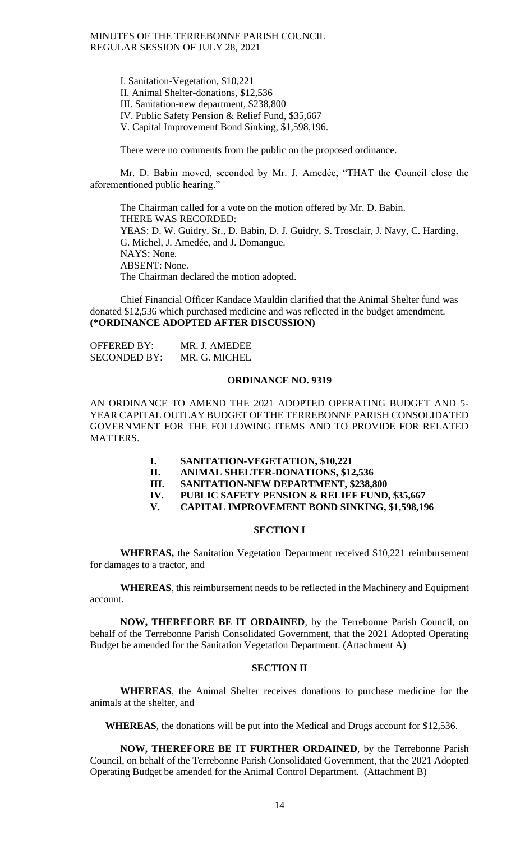I. Sanitation-Vegetation, \$10,221 II. Animal Shelter-donations, \$12,536 III. Sanitation-new department, \$238,800 IV. Public Safety Pension & Relief Fund, \$35,667 V. Capital Improvement Bond Sinking, \$1,598,196.

There were no comments from the public on the proposed ordinance.

Mr. D. Babin moved, seconded by Mr. J. Amedée, "THAT the Council close the aforementioned public hearing."

The Chairman called for a vote on the motion offered by Mr. D. Babin. THERE WAS RECORDED: YEAS: D. W. Guidry, Sr., D. Babin, D. J. Guidry, S. Trosclair, J. Navy, C. Harding, G. Michel, J. Amedée, and J. Domangue. NAYS: None. ABSENT: None. The Chairman declared the motion adopted.

Chief Financial Officer Kandace Mauldin clarified that the Animal Shelter fund was donated \$12,536 which purchased medicine and was reflected in the budget amendment. **(\*ORDINANCE ADOPTED AFTER DISCUSSION)**

OFFERED BY: MR. J. AMEDEE SECONDED BY: MR. G. MICHEL

### **ORDINANCE NO. 9319**

AN ORDINANCE TO AMEND THE 2021 ADOPTED OPERATING BUDGET AND 5- YEAR CAPITAL OUTLAY BUDGET OF THE TERREBONNE PARISH CONSOLIDATED GOVERNMENT FOR THE FOLLOWING ITEMS AND TO PROVIDE FOR RELATED MATTERS.

- **I. SANITATION-VEGETATION, \$10,221**
- **II. ANIMAL SHELTER-DONATIONS, \$12,536**
- **III. SANITATION-NEW DEPARTMENT, \$238,800**
- **IV. PUBLIC SAFETY PENSION & RELIEF FUND, \$35,667**
- **V. CAPITAL IMPROVEMENT BOND SINKING, \$1,598,196**

#### **SECTION I**

**WHEREAS,** the Sanitation Vegetation Department received \$10,221 reimbursement for damages to a tractor, and

**WHEREAS**, this reimbursement needs to be reflected in the Machinery and Equipment account.

**NOW, THEREFORE BE IT ORDAINED**, by the Terrebonne Parish Council, on behalf of the Terrebonne Parish Consolidated Government, that the 2021 Adopted Operating Budget be amended for the Sanitation Vegetation Department. (Attachment A)

# **SECTION II**

**WHEREAS**, the Animal Shelter receives donations to purchase medicine for the animals at the shelter, and

**WHEREAS**, the donations will be put into the Medical and Drugs account for \$12,536.

**NOW, THEREFORE BE IT FURTHER ORDAINED**, by the Terrebonne Parish Council, on behalf of the Terrebonne Parish Consolidated Government, that the 2021 Adopted Operating Budget be amended for the Animal Control Department. (Attachment B)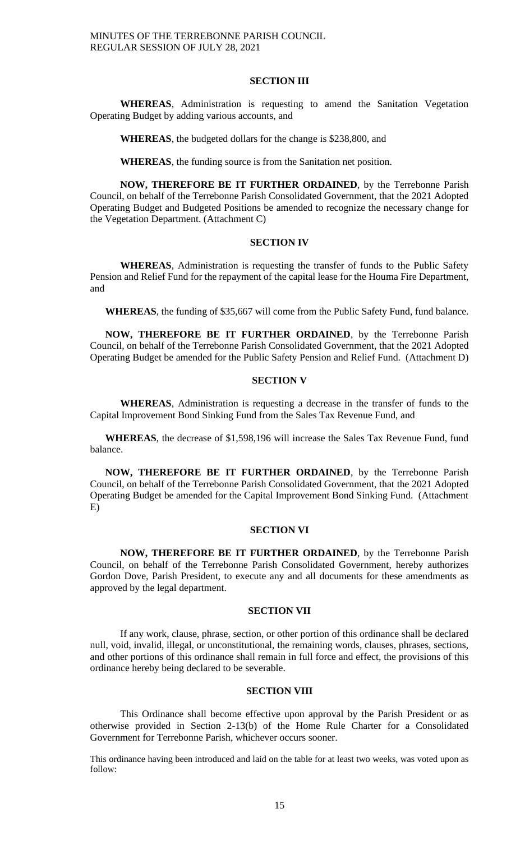#### **SECTION III**

**WHEREAS**, Administration is requesting to amend the Sanitation Vegetation Operating Budget by adding various accounts, and

**WHEREAS**, the budgeted dollars for the change is \$238,800, and

**WHEREAS**, the funding source is from the Sanitation net position.

**NOW, THEREFORE BE IT FURTHER ORDAINED**, by the Terrebonne Parish Council, on behalf of the Terrebonne Parish Consolidated Government, that the 2021 Adopted Operating Budget and Budgeted Positions be amended to recognize the necessary change for the Vegetation Department. (Attachment C)

# **SECTION IV**

**WHEREAS**, Administration is requesting the transfer of funds to the Public Safety Pension and Relief Fund for the repayment of the capital lease for the Houma Fire Department, and

**WHEREAS**, the funding of \$35,667 will come from the Public Safety Fund, fund balance.

**NOW, THEREFORE BE IT FURTHER ORDAINED**, by the Terrebonne Parish Council, on behalf of the Terrebonne Parish Consolidated Government, that the 2021 Adopted Operating Budget be amended for the Public Safety Pension and Relief Fund. (Attachment D)

# **SECTION V**

**WHEREAS**, Administration is requesting a decrease in the transfer of funds to the Capital Improvement Bond Sinking Fund from the Sales Tax Revenue Fund, and

**WHEREAS**, the decrease of \$1,598,196 will increase the Sales Tax Revenue Fund, fund balance.

**NOW, THEREFORE BE IT FURTHER ORDAINED**, by the Terrebonne Parish Council, on behalf of the Terrebonne Parish Consolidated Government, that the 2021 Adopted Operating Budget be amended for the Capital Improvement Bond Sinking Fund. (Attachment E)

#### **SECTION VI**

**NOW, THEREFORE BE IT FURTHER ORDAINED**, by the Terrebonne Parish Council, on behalf of the Terrebonne Parish Consolidated Government, hereby authorizes Gordon Dove, Parish President, to execute any and all documents for these amendments as approved by the legal department.

# **SECTION VII**

If any work, clause, phrase, section, or other portion of this ordinance shall be declared null, void, invalid, illegal, or unconstitutional, the remaining words, clauses, phrases, sections, and other portions of this ordinance shall remain in full force and effect, the provisions of this ordinance hereby being declared to be severable.

### **SECTION VIII**

This Ordinance shall become effective upon approval by the Parish President or as otherwise provided in Section 2-13(b) of the Home Rule Charter for a Consolidated Government for Terrebonne Parish, whichever occurs sooner.

This ordinance having been introduced and laid on the table for at least two weeks, was voted upon as follow: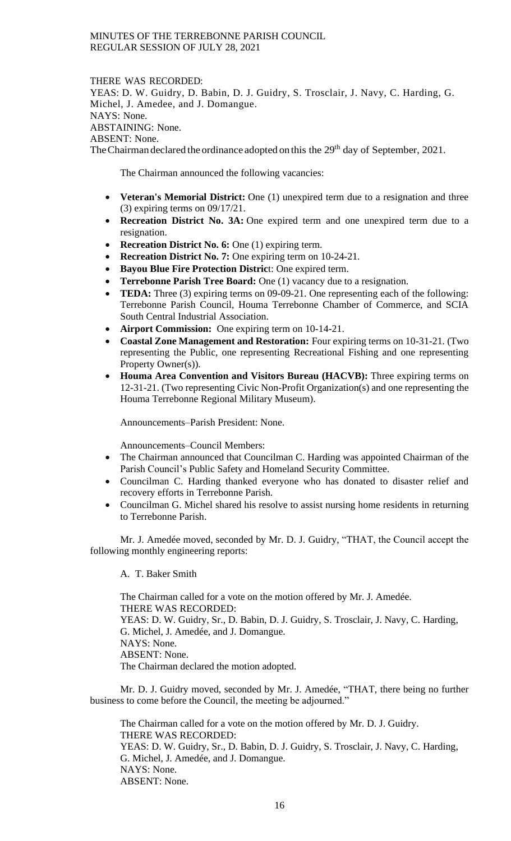#### THERE WAS RECORDED:

YEAS: D. W. Guidry, D. Babin, D. J. Guidry, S. Trosclair, J. Navy, C. Harding, G. Michel, J. Amedee, and J. Domangue. NAYS: None. ABSTAINING: None. ABSENT: None. The Chairman declared the ordinance adopted on this the 29<sup>th</sup> day of September, 2021.

The Chairman announced the following vacancies:

- **Veteran's Memorial District:** One (1) unexpired term due to a resignation and three (3) expiring terms on 09/17/21.
- **Recreation District No. 3A:** One expired term and one unexpired term due to a resignation.
- **Recreation District No. 6:** One (1) expiring term.
- **Recreation District No. 7:** One expiring term on 10-24-21.
- **Bayou Blue Fire Protection Distric**t: One expired term.
- **Terrebonne Parish Tree Board:** One (1) vacancy due to a resignation.
- **TEDA:** Three (3) expiring terms on 09-09-21. One representing each of the following: Terrebonne Parish Council, Houma Terrebonne Chamber of Commerce, and SCIA South Central Industrial Association.
- **Airport Commission:** One expiring term on 10-14-21.
- **Coastal Zone Management and Restoration:** Four expiring terms on 10-31-21. (Two representing the Public, one representing Recreational Fishing and one representing Property Owner(s)).
- **Houma Area Convention and Visitors Bureau (HACVB):** Three expiring terms on 12-31-21. (Two representing Civic Non-Profit Organization(s) and one representing the Houma Terrebonne Regional Military Museum).

Announcements–Parish President: None.

Announcements–Council Members:

- The Chairman announced that Councilman C. Harding was appointed Chairman of the Parish Council's Public Safety and Homeland Security Committee.
- Councilman C. Harding thanked everyone who has donated to disaster relief and recovery efforts in Terrebonne Parish.
- Councilman G. Michel shared his resolve to assist nursing home residents in returning to Terrebonne Parish.

Mr. J. Amedée moved, seconded by Mr. D. J. Guidry, "THAT, the Council accept the following monthly engineering reports:

A. T. Baker Smith

The Chairman called for a vote on the motion offered by Mr. J. Amedée. THERE WAS RECORDED: YEAS: D. W. Guidry, Sr., D. Babin, D. J. Guidry, S. Trosclair, J. Navy, C. Harding, G. Michel, J. Amedée, and J. Domangue. NAYS: None. ABSENT: None. The Chairman declared the motion adopted.

Mr. D. J. Guidry moved, seconded by Mr. J. Amedée, "THAT, there being no further business to come before the Council, the meeting be adjourned."

The Chairman called for a vote on the motion offered by Mr. D. J. Guidry. THERE WAS RECORDED: YEAS: D. W. Guidry, Sr., D. Babin, D. J. Guidry, S. Trosclair, J. Navy, C. Harding, G. Michel, J. Amedée, and J. Domangue. NAYS: None. ABSENT: None.